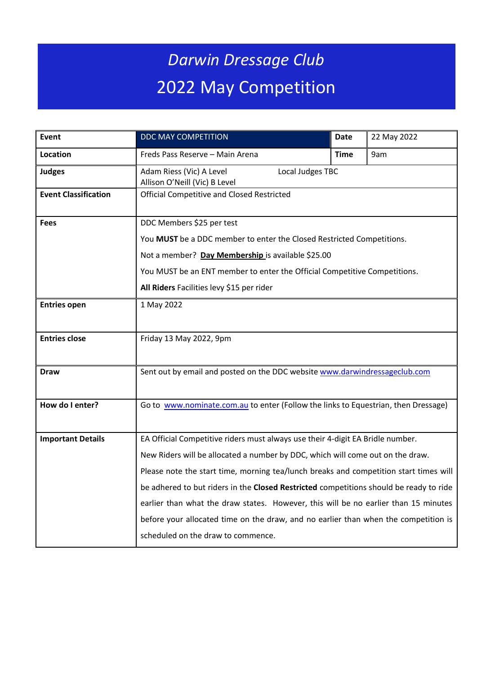## *Darwin Dressage Club* 2022 May Competition

| Event                       | DDC MAY COMPETITION                                                                    | Date        | 22 May 2022 |  |  |  |
|-----------------------------|----------------------------------------------------------------------------------------|-------------|-------------|--|--|--|
| Location                    | Freds Pass Reserve - Main Arena                                                        | <b>Time</b> | 9am         |  |  |  |
| <b>Judges</b>               | Adam Riess (Vic) A Level<br>Local Judges TBC<br>Allison O'Neill (Vic) B Level          |             |             |  |  |  |
| <b>Event Classification</b> | <b>Official Competitive and Closed Restricted</b>                                      |             |             |  |  |  |
| <b>Fees</b>                 | DDC Members \$25 per test                                                              |             |             |  |  |  |
|                             | You MUST be a DDC member to enter the Closed Restricted Competitions.                  |             |             |  |  |  |
|                             | Not a member? Day Membership is available \$25.00                                      |             |             |  |  |  |
|                             | You MUST be an ENT member to enter the Official Competitive Competitions.              |             |             |  |  |  |
|                             | All Riders Facilities levy \$15 per rider                                              |             |             |  |  |  |
| <b>Entries open</b>         | 1 May 2022                                                                             |             |             |  |  |  |
| <b>Entries close</b>        | Friday 13 May 2022, 9pm                                                                |             |             |  |  |  |
| <b>Draw</b>                 | Sent out by email and posted on the DDC website www.darwindressageclub.com             |             |             |  |  |  |
| How do I enter?             | Go to www.nominate.com.au to enter (Follow the links to Equestrian, then Dressage)     |             |             |  |  |  |
| <b>Important Details</b>    | EA Official Competitive riders must always use their 4-digit EA Bridle number.         |             |             |  |  |  |
|                             | New Riders will be allocated a number by DDC, which will come out on the draw.         |             |             |  |  |  |
|                             | Please note the start time, morning tea/lunch breaks and competition start times will  |             |             |  |  |  |
|                             | be adhered to but riders in the Closed Restricted competitions should be ready to ride |             |             |  |  |  |
|                             | earlier than what the draw states. However, this will be no earlier than 15 minutes    |             |             |  |  |  |
|                             | before your allocated time on the draw, and no earlier than when the competition is    |             |             |  |  |  |
|                             | scheduled on the draw to commence.                                                     |             |             |  |  |  |